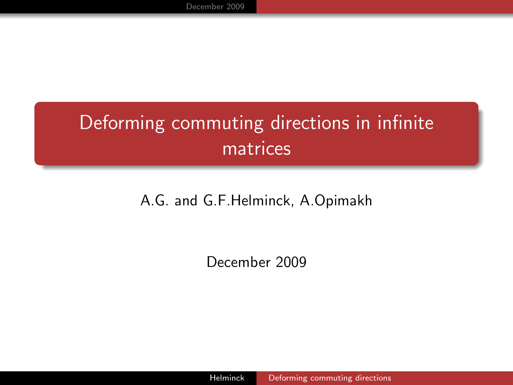# Deforming commuting directions in infinite matrices

#### A.G. and G.F.Helminck, A.Opimakh

<span id="page-0-0"></span>December 2009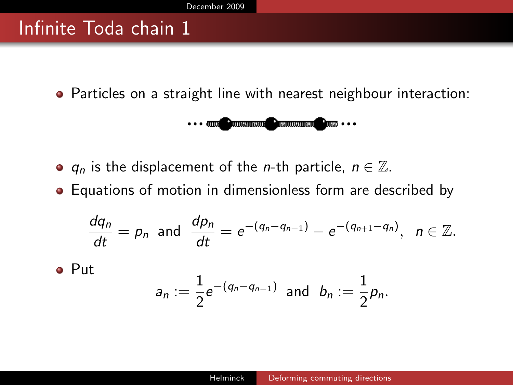#### Infinite Toda chain 1

Particles on a straight line with nearest neighbour interaction:

$$
\cdots \text{ and } \text{ minimum } \text{ common } \text{ and } \cdots
$$

- $q_n$  is the displacement of the *n*-th particle,  $n \in \mathbb{Z}$ .
- Equations of motion in dimensionless form are described by

$$
\frac{dq_n}{dt} = p_n \text{ and } \frac{dp_n}{dt} = e^{-(q_n - q_{n-1})} - e^{-(q_{n+1} - q_n)}, \ \ n \in \mathbb{Z}.
$$

• Put

<span id="page-1-0"></span>
$$
a_n := \frac{1}{2} e^{-(q_n - q_{n-1})} \text{ and } b_n := \frac{1}{2} p_n.
$$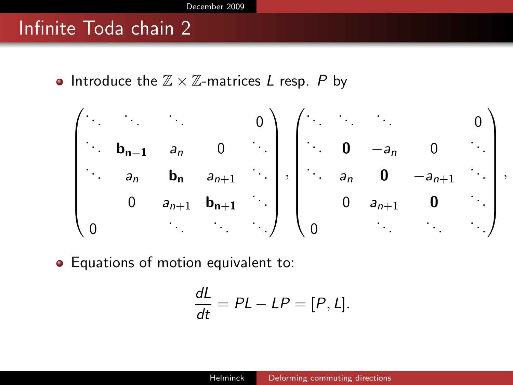#### Infinite Toda chain 2

• Introduce the  $\mathbb{Z} \times \mathbb{Z}$ -matrices L resp. P by

$$
\begin{pmatrix}\n\cdot & \cdot & \cdot & \cdot & 0 \\
\cdot & b_{n-1} & a_n & 0 & \cdot \\
\cdot & a_n & b_n & a_{n+1} & \cdot \\
0 & a_{n+1} & b_{n+1} & \cdot \\
0 & \cdot & \cdot & \cdot\n\end{pmatrix}, \begin{pmatrix}\n\cdot & \cdot & \cdot & \cdot & 0 \\
\cdot & 0 & -a_n & 0 & \cdot \\
\cdot & a_n & 0 & -a_{n+1} & \cdot \\
\cdot & a_n & 0 & -a_{n+1} & \cdot \\
0 & a_{n+1} & 0 & \cdot \\
0 & \cdot & \cdot & \cdot\n\end{pmatrix}
$$

,

• Equations of motion equivalent to:

$$
\frac{dL}{dt} = PL - LP = [P, L].
$$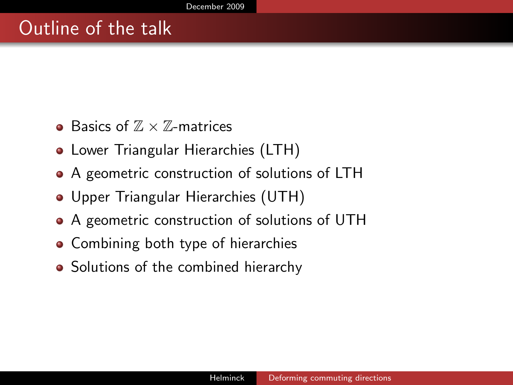### Outline of the talk

- Basics of  $\mathbb{Z} \times \mathbb{Z}$ -matrices
- **Lower Triangular Hierarchies (LTH)**
- A geometric construction of solutions of LTH
- Upper Triangular Hierarchies (UTH)
- A geometric construction of solutions of UTH
- Combining both type of hierarchies
- Solutions of the combined hierarchy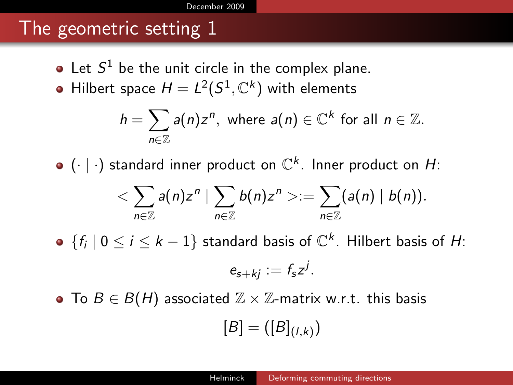#### [December 2009](#page-1-0)

### The geometric setting 1

- Let  $S^1$  be the unit circle in the complex plane.
- Hilbert space  $H=L^2(S^1,\mathbb{C}^k)$  with elements

$$
h=\sum_{n\in\mathbb{Z}}a(n)z^n, \text{ where } a(n)\in\mathbb{C}^k \text{ for all } n\in\mathbb{Z}.
$$

 $(\cdot\mid\cdot)$  standard inner product on  $\mathbb{C}^k$ . Inner product on H:

$$
\langle \sum_{n\in\mathbb{Z}}a(n)z^n\mid \sum_{n\in\mathbb{Z}}b(n)z^n>=\sum_{n\in\mathbb{Z}}(a(n)\mid b(n)).
$$

 $\{f_i \mid 0 \le i \le k-1\}$  standard basis of  $\mathbb{C}^k$ . Hilbert basis of H:

$$
e_{s+kj}:=f_sz^j.
$$

• To  $B \in B(H)$  associated  $\mathbb{Z} \times \mathbb{Z}$ -matrix w.r.t. this basis

$$
[B]=([B]_{(l,k)})
$$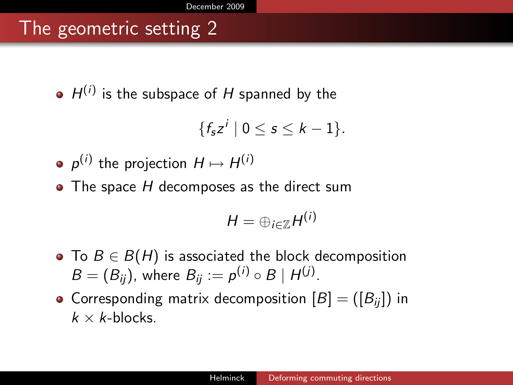## The geometric setting 2

 $H^{(i)}$  is the subspace of H spanned by the

$$
\{f_{\mathbf{s}}z^i\mid 0\leq \mathbf{s}\leq k-1\}.
$$

• 
$$
p^{(i)}
$$
 the projection  $H \mapsto H^{(i)}$ 

 $\bullet$  The space H decomposes as the direct sum

$$
H=\oplus_{i\in\mathbb{Z}}H^{(i)}
$$

- To  $B \in B(H)$  is associated the block decomposition  $B=(B_{ij})$ , where  $B_{ij}:=p^{(i)}\circ B\mid H^{(j)}$ .
- Corresponding matrix decomposition  $[B] = ([B_{ii}])$  in  $k \times k$ -blocks.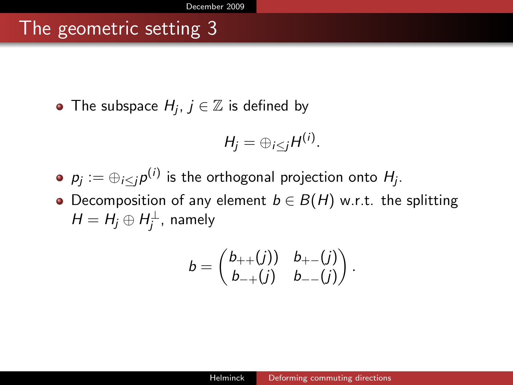### The geometric setting 3

The subspace  $H_j$ ,  $j \in \mathbb{Z}$  is defined by

$$
H_j=\oplus_{i\leq j}H^{(i)}.
$$

- $p_j:=\oplus_{i\leq j}p^{(i)}$  is the orthogonal projection onto  $H_j.$
- Decomposition of any element  $b \in B(H)$  w.r.t. the splitting  $H=H_j\oplus H_j^{\perp}$ , namely

$$
b=\begin{pmatrix}b_{++}(j)&b_{+-}(j)\\b_{-+}(j)&b_{--}(j)\end{pmatrix}.
$$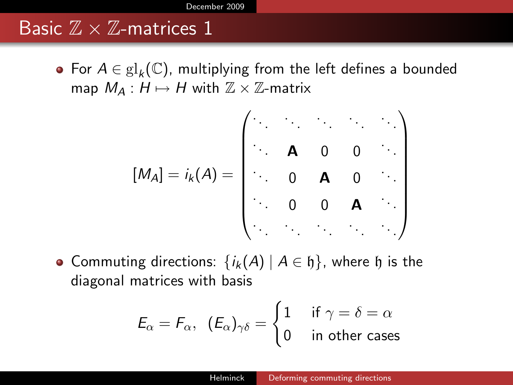#### Basic  $\mathbb{Z} \times \mathbb{Z}$ -matrices 1

For  $A \in gl_k(\mathbb{C})$ , multiplying from the left defines a bounded map  $M_A : H \mapsto H$  with  $\mathbb{Z} \times \mathbb{Z}$ -matrix

$$
[M_A] = i_k(A) = \begin{pmatrix} . & . & . & . & . \\ . & \mathbf{A} & 0 & 0 & . \\ . & . & 0 & \mathbf{A} & 0 & . \\ . & . & 0 & 0 & \mathbf{A} & . \\ . & . & . & . & . & . \end{pmatrix}
$$

• Commuting directions:  $\{i_k(A) | A \in \mathfrak{h}\}\)$ , where  $\mathfrak h$  is the diagonal matrices with basis

$$
E_{\alpha} = F_{\alpha}, \ \ (E_{\alpha})_{\gamma\delta} = \begin{cases} 1 & \text{if } \gamma = \delta = \alpha \\ 0 & \text{in other cases} \end{cases}
$$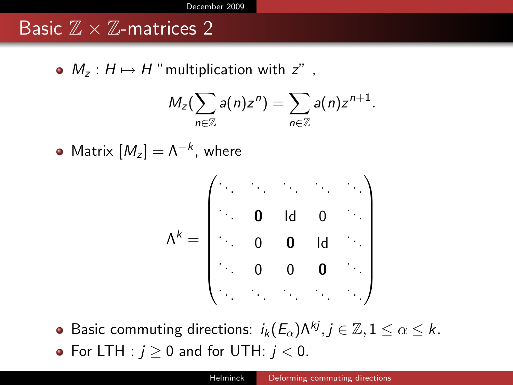#### Basic  $\mathbb{Z} \times \mathbb{Z}$ -matrices 2

•  $M_z$  :  $H \mapsto H$  "multiplication with  $z$ ",

$$
M_z(\sum_{n\in\mathbb{Z}}a(n)z^n)=\sum_{n\in\mathbb{Z}}a(n)z^{n+1}.
$$

Matrix  $[M_z] = \Lambda^{-k}$ , where

$$
\Lambda^k = \begin{pmatrix} \cdot & \cdot & \cdot & \cdot & \cdot \\ \cdot & \mathbf{0} & \mathrm{Id} & \mathbf{0} & \cdot \\ \cdot & \mathbf{0} & \mathbf{0} & \mathrm{Id} & \cdot \\ \cdot & \mathbf{0} & \mathbf{0} & \mathbf{0} & \cdot \\ \cdot & \cdot & \cdot & \cdot & \cdot \end{pmatrix}
$$

Basic commuting directions:  $i_k(E_\alpha) \Lambda^{kj}, j \in \mathbb{Z}, 1 \leq \alpha \leq k$ . • For LTH :  $j \ge 0$  and for UTH:  $j < 0$ .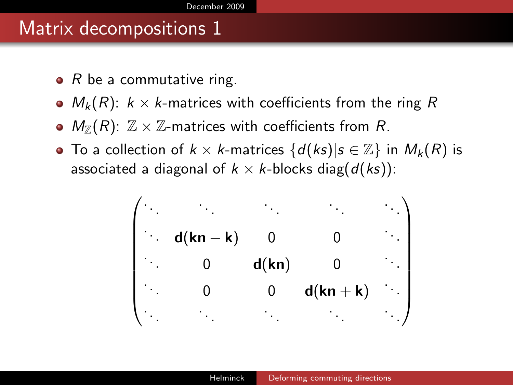#### Matrix decompositions 1

- $\bullet$  R be a commutative ring.
- $M_k(R)$ :  $k \times k$ -matrices with coefficients from the ring R
- $\bullet$   $M_{\mathbb{Z}}(R)$ :  $\mathbb{Z}\times\mathbb{Z}$ -matrices with coefficients from R.
- To a collection of  $k \times k$ -matrices  $\{d(ks) | s \in \mathbb{Z}\}\$ in  $M_k(R)$  is associated a diagonal of  $k \times k$ -blocks diag( $d(ks)$ ):

 . . . . . . . . . . . . . . . . . . <sup>d</sup>(kn <sup>−</sup> <sup>k</sup>) 0 0 . . . . . . <sup>0</sup> <sup>d</sup>(kn) 0 . . . . . . 0 0 d(kn + k) . . . . . . . . . . . . . . . . . .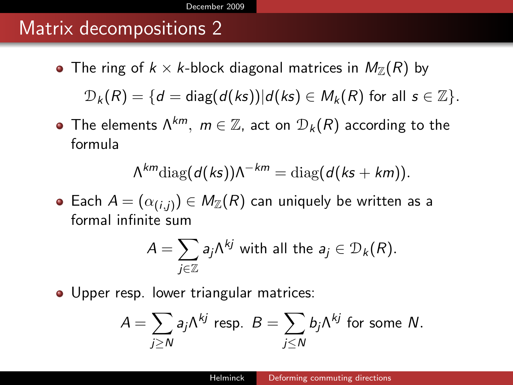#### Matrix decompositions 2

- The ring of  $k \times k$ -block diagonal matrices in  $M_{\mathbb{Z}}(R)$  by  $D_k(R) = \{d = \text{diag}(d(ks))|d(ks) \in M_k(R) \text{ for all } s \in \mathbb{Z}\}.$
- The elements  $\Lambda^{km}$ ,  $m \in \mathbb{Z}$ , act on  $\mathcal{D}_k(R)$  according to the formula

$$
\Lambda^{km} \text{diag}(d(ks))\Lambda^{-km} = \text{diag}(d(ks+km)).
$$

Each  $A=(\alpha_{(i,j)})\in \mathit{M}_{\mathbb{Z}}(R)$  can uniquely be written as a formal infinite sum

$$
A = \sum_{j \in \mathbb{Z}} a_j \Lambda^{kj} \text{ with all the } a_j \in \mathcal{D}_k(R).
$$

• Upper resp. lower triangular matrices:

$$
A = \sum_{j \geq N} a_j \Lambda^{kj} \text{ resp. } B = \sum_{j \leq N} b_j \Lambda^{kj} \text{ for some } N.
$$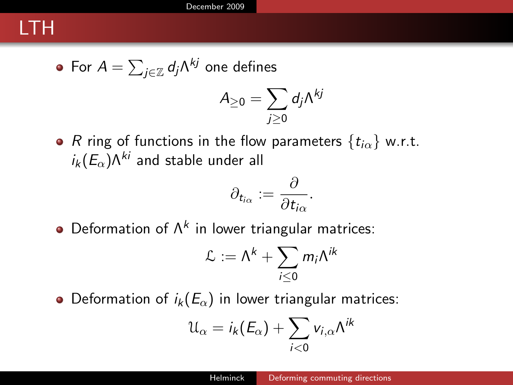### LTH

• For 
$$
A = \sum_{j \in \mathbb{Z}} d_j \Lambda^{kj}
$$
 one defines

$$
A_{\geq 0}=\sum_{j\geq 0}d_j\Lambda^{kj}
$$

• R ring of functions in the flow parameters  $\{t_{i\alpha}\}\text{ w.r.t.}$  $i_k(E_\alpha) \Lambda^{ki}$  and stable under all

$$
\partial_{t_{i\alpha}}:=\frac{\partial}{\partial t_{i\alpha}}.
$$

Deformation of  $\Lambda^k$  in lower triangular matrices:

$$
\mathcal{L} := \Lambda^k + \sum_{i \leq 0} m_i \Lambda^{ik}
$$

• Deformation of  $i_k(E_\alpha)$  in lower triangular matrices:

$$
\mathfrak{U}_{\alpha}=i_{k}(E_{\alpha})+\sum_{i<0}v_{i,\alpha}\Lambda^{ik}
$$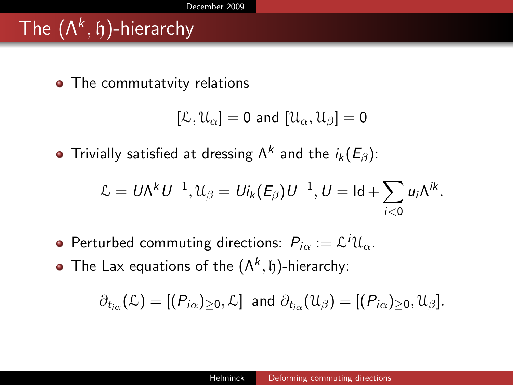# The  $(\Lambda^k,\mathfrak{h})$ -hierarchy

• The commutatvity relations

$$
[\mathcal{L},\mathcal{U}_\alpha]=0 \text{ and } [\mathcal{U}_\alpha,\mathcal{U}_\beta]=0
$$

Trivially satisfied at dressing  $\Lambda^k$  and the  $i_k(E_\beta)$ :

$$
\mathcal{L} = U \Lambda^k U^{-1}, \mathcal{U}_{\beta} = U i_k (E_{\beta}) U^{-1}, U = \mathrm{Id} + \sum_{i < 0} u_i \Lambda^{ik}.
$$

- Perturbed commuting directions:  $P_{i\alpha} := \mathcal{L}^i \mathfrak{U}_\alpha$ .
- The Lax equations of the  $(\Lambda^k, \mathfrak{h})$ -hierarchy:

$$
\partial_{t_{i\alpha}}(\mathcal{L})=[(P_{i\alpha})_{\geq 0},\mathcal{L}]\ \ \text{and}\ \partial_{t_{i\alpha}}(\mathfrak{U}_{\beta})=[(P_{i\alpha})_{\geq 0},\mathfrak{U}_{\beta}].
$$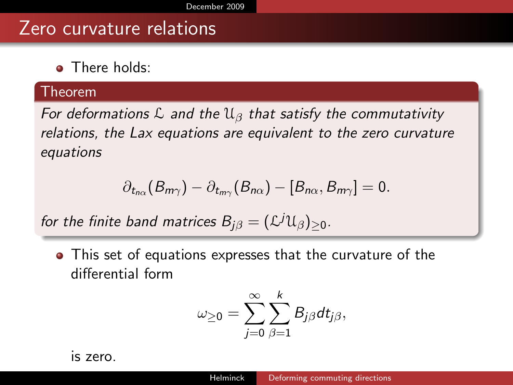#### Zero curvature relations

**a** There holds:

#### Theorem

For deformations  $\mathcal L$  and the  $\mathfrak{U}_{\beta}$  that satisfy the commutativity relations, the Lax equations are equivalent to the zero curvature equations

$$
\partial_{t_{n\alpha}}(B_{m\gamma})-\partial_{t_{m\gamma}}(B_{n\alpha})-[B_{n\alpha},B_{m\gamma}]=0.
$$

for the finite band matrices  $B_{j\beta}=(\mathcal{L}^j\mathfrak{U}_\beta)_{\geq 0}$ .

This set of equations expresses that the curvature of the differential form

$$
\omega_{\geq 0} = \sum_{j=0}^\infty \sum_{\beta=1}^k B_{j\beta} dt_{j\beta},
$$

is zero.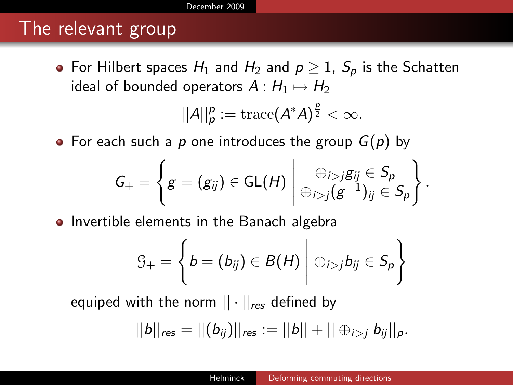#### The relevant group

• For Hilbert spaces  $H_1$  and  $H_2$  and  $p \geq 1$ ,  $S_p$  is the Schatten ideal of bounded operators  $A: H_1 \mapsto H_2$ 

$$
||A||_p^p := \operatorname{trace}(A^*A)^{\frac{p}{2}} < \infty.
$$

• For each such a p one introduces the group  $G(p)$  by

$$
G_{+}=\left\{g=(g_{ij})\in\mathsf{GL}(H)\,\middle|\, \bigoplus_{i>j}(g^{-1})_{ij}\in S_{\rho}\\ \oplus_{i>j}(g^{-1})_{ij}\in S_{\rho}\right\}.
$$

• Invertible elements in the Banach algebra

$$
G_{+} = \left\{b = (b_{ij}) \in B(H) \mid \oplus_{i > j} b_{ij} \in S_{p}\right\}
$$

equiped with the norm  $|| \cdot ||_{res}$  defined by

$$
||b||_{\text{res}} = ||(b_{ij})||_{\text{res}} := ||b|| + ||\oplus_{i > j} b_{ij}||_{p}.
$$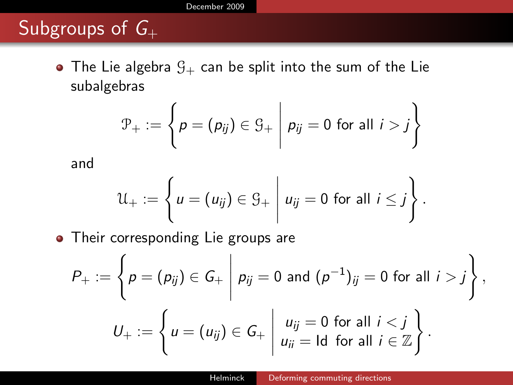[December 2009](#page-1-0)

## Subgroups of  $G_+$

• The Lie algebra  $G_+$  can be split into the sum of the Lie subalgebras

$$
\mathcal{P}_+ := \left\{ p = (p_{ij}) \in \mathcal{G}_+ \middle| p_{ij} = 0 \text{ for all } i > j \right\}
$$

and

$$
\mathcal{U}_+ := \left\{ u = (u_{ij}) \in \mathcal{G}_+ \middle| u_{ij} = 0 \text{ for all } i \leq j \right\}.
$$

• Their corresponding Lie groups are

$$
P_+ := \left\{ p = (p_{ij}) \in G_+ \middle| p_{ij} = 0 \text{ and } (p^{-1})_{ij} = 0 \text{ for all } i > j \right\},
$$
  

$$
U_+ := \left\{ u = (u_{ij}) \in G_+ \middle| \begin{array}{l} u_{ij} = 0 \text{ for all } i < j \\ u_{ii} = \text{Id} \text{ for all } i \in \mathbb{Z} \end{array} \right\}.
$$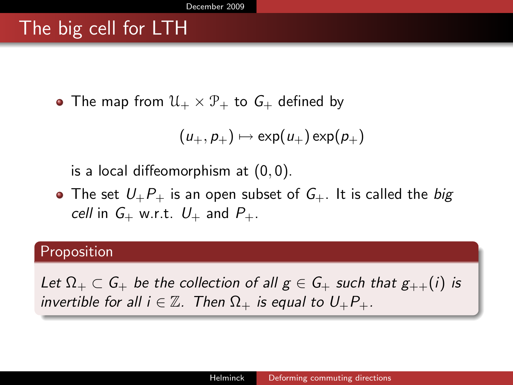## The big cell for LTH

• The map from  $\mathcal{U}_+ \times \mathcal{P}_+$  to  $G_+$  defined by

$$
(u_+,p_+)\mapsto \exp(u_+)\exp(p_+)
$$

is a local diffeomorphism at (0, 0).

• The set  $U_{+}P_{+}$  is an open subset of  $G_{+}$ . It is called the big cell in  $G_+$  w.r.t.  $U_+$  and  $P_+$ .

#### Proposition

Let  $\Omega_+ \subset G_+$  be the collection of all  $g \in G_+$  such that  $g_{++}(i)$  is invertible for all  $i \in \mathbb{Z}$ . Then  $\Omega_+$  is equal to  $U_+P_+$ .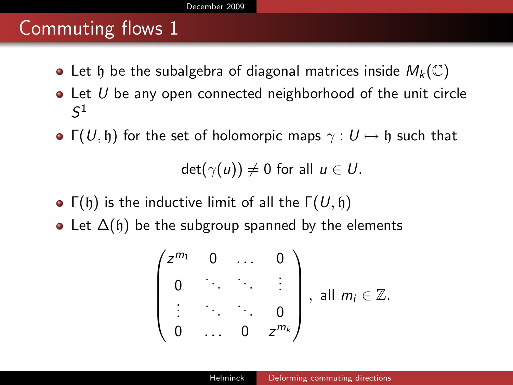### Commuting flows 1

- Let h be the subalgebra of diagonal matrices inside  $M_k(\mathbb{C})$
- $\bullet$  Let U be any open connected neighborhood of the unit circle  $\mathcal{S}^1$
- $\Gamma(U, \mathfrak{h})$  for the set of holomorpic maps  $\gamma : U \mapsto \mathfrak{h}$  such that

 $det(\gamma(u)) \neq 0$  for all  $u \in U$ .

- Γ(h) is the inductive limit of all the  $\Gamma(U, \mathfrak{h})$
- Let  $\Delta(\mathfrak{h})$  be the subgroup spanned by the elements

$$
\begin{pmatrix} z^{m_1} & 0 & \dots & 0 \\ 0 & \ddots & \ddots & \vdots \\ \vdots & \ddots & \ddots & 0 \\ 0 & \dots & 0 & z^{m_k} \end{pmatrix}, \text{ all } m_i \in \mathbb{Z}.
$$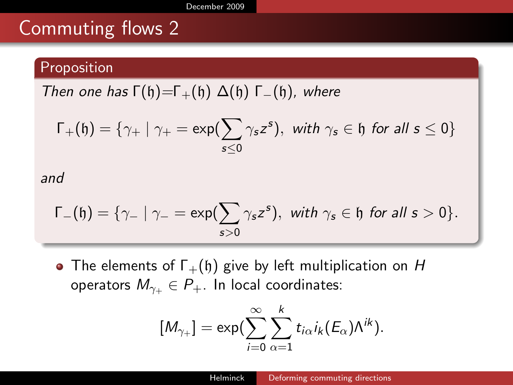### Commuting flows 2

#### Proposition

Then one has  $\Gamma(\mathfrak{h})=\Gamma_+(\mathfrak{h}) \Delta(\mathfrak{h}) \Gamma_-(\mathfrak{h})$ , where

$$
\Gamma_+(\mathfrak{h})=\{\gamma_+\mid \gamma_+=\exp(\sum_{s\leq 0}\gamma_s z^s),\ \text{with}\ \gamma_s\in \mathfrak{h}\ \text{for all}\ s\leq 0\}
$$

and

$$
\Gamma_-(\mathfrak{h})=\{\gamma_-\mid \gamma_-=\exp(\sum_{s>0}\gamma_s z^s),\ \text{with}\ \gamma_s\in\mathfrak{h}\ \text{for all}\ s>0\}.
$$

• The elements of  $\Gamma_+(\mathfrak{h})$  give by left multiplication on H operators  $M_{\gamma_+} \in P_+$ . In local coordinates:

$$
[M_{\gamma_+}]=\exp(\sum_{i=0}^{\infty}\sum_{\alpha=1}^{k}t_{i\alpha}i_k(E_{\alpha})\Lambda^{ik}).
$$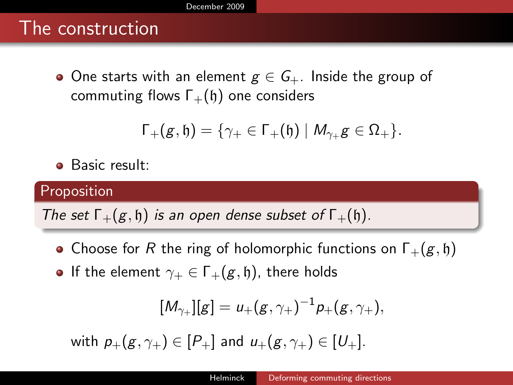### The construction

• One starts with an element  $g \in G_+$ . Inside the group of commuting flows  $\Gamma_+(\mathfrak{h})$  one considers

$$
\Gamma_+(g,\mathfrak{h})=\{\gamma_+\in\Gamma_+(\mathfrak{h})\mid M_{\gamma_+}g\in\Omega_+\}.
$$

Basic result:

#### Proposition

The set  $\Gamma_+(g, \mathfrak{h})$  is an open dense subset of  $\Gamma_+(\mathfrak{h})$ .

- Choose for R the ring of holomorphic functions on  $\Gamma_+(g, \mathfrak{h})$
- **•** If the element  $\gamma_+ \in \Gamma_+(g, \mathfrak{h})$ , there holds

$$
[M_{\gamma+}][g] = u_{+}(g, \gamma_{+})^{-1} p_{+}(g, \gamma_{+}),
$$

with  $p_+(g, \gamma_+) \in [P_+]$  and  $u_+(g, \gamma_+) \in [U_+]$ .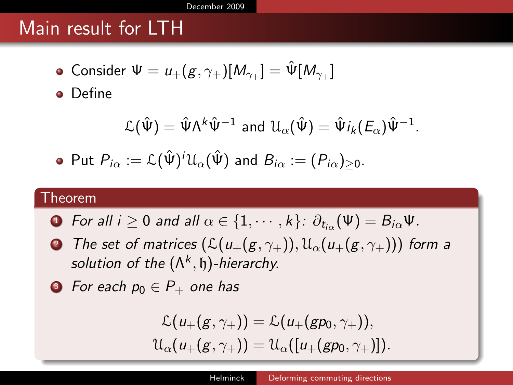#### [December 2009](#page-1-0)

### Main result for LTH

Consider  $\Psi=u_+(g,\gamma_+)[M_{\gamma_+}]=\hat{\Psi}[M_{\gamma_+}]$ 

**•** Define

$$
\mathcal{L}(\hat{\Psi}) = \hat{\Psi} \Lambda^k \hat{\Psi}^{-1} \text{ and } \mathcal{U}_{\alpha}(\hat{\Psi}) = \hat{\Psi} i_k (E_{\alpha}) \hat{\Psi}^{-1}.
$$

• Put 
$$
P_{i\alpha} := \mathcal{L}(\hat{\Psi})^i \mathcal{U}_{\alpha}(\hat{\Psi})
$$
 and  $B_{i\alpha} := (P_{i\alpha})_{\geq 0}$ .

#### Theorem

- ${\bf D}$  For all  $i\geq 0$  and all  $\alpha\in\{1,\cdots,k\}\colon \partial_{t_{i\alpha}}(\Psi)=B_{i\alpha}\Psi.$
- **2** The set of matrices  $(\mathcal{L}(u_+(g, \gamma_+)), \mathcal{U}_{\alpha}(u_+(g, \gamma_+)))$  form a solution of the  $(\Lambda^k, \mathfrak{h})$ -hierarchy.

• For each 
$$
p_0 \in P_+
$$
 one has

$$
\mathcal{L}(u_+(g,\gamma_+)) = \mathcal{L}(u_+(gp_0,\gamma_+)),
$$
  

$$
\mathcal{U}_{\alpha}(u_+(g,\gamma_+)) = \mathcal{U}_{\alpha}([u_+(gp_0,\gamma_+)]).
$$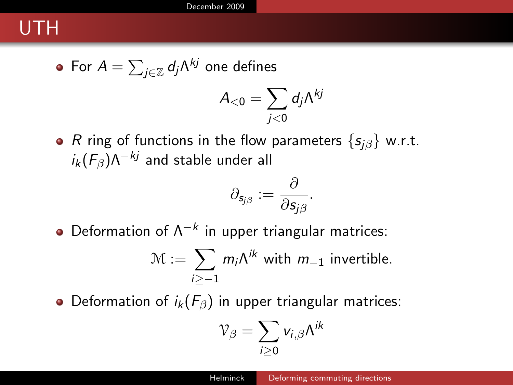## UTH

• For 
$$
A = \sum_{j \in \mathbb{Z}} d_j \Lambda^{kj}
$$
 one defines

$$
A_{<0}=\sum_{j<0}d_j\Lambda^{kj}
$$

• R ring of functions in the flow parameters  $\{s_{i\beta}\}\text{ w.r.t.}$  $i_k$  ( $F_β$ ) $Λ^{-kj}$  and stable under all

$$
\partial_{\mathsf{s}_{j\beta}}:=\frac{\partial}{\partial \mathsf{s}_{j\beta}}.
$$

Deformation of  $\Lambda^{-k}$  in upper triangular matrices:

$$
\mathcal{M} := \sum_{i \geq -1} m_i \Lambda^{ik} \text{ with } m_{-1} \text{ invertible.}
$$

• Deformation of  $i_k(F_\beta)$  in upper triangular matrices:

$$
\mathcal{V}_\beta = \sum_{i\geq 0} v_{i,\beta} \Lambda^{ik}
$$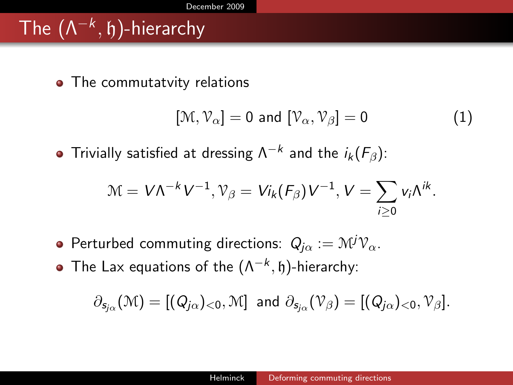# The  $(\Lambda^{-k},\mathfrak{h})$ -hierarchy

• The commutatvity relations

$$
[\mathcal{M}, \mathcal{V}_{\alpha}] = 0 \text{ and } [\mathcal{V}_{\alpha}, \mathcal{V}_{\beta}] = 0 \tag{1}
$$

Trivially satisfied at dressing  $\Lambda^{-k}$  and the  $i_k(\mathcal{F}_\beta)$ :

$$
\mathcal{M} = V \Lambda^{-k} V^{-1}, \mathcal{V}_{\beta} = V i_k(F_{\beta}) V^{-1}, V = \sum_{i \geq 0} v_i \Lambda^{ik}.
$$

- **•** Perturbed commuting directions:  $Q_{i\alpha} := \mathcal{M}^j \mathcal{V}_{\alpha}$ .
- The Lax equations of the  $(\Lambda^{-k}, \mathfrak{h})$ -hierarchy:

$$
\partial_{s_{j\alpha}}(\mathcal{M})=[(Q_{j\alpha})_{<0},\mathcal{M}] \text{ and } \partial_{s_{j\alpha}}(\mathcal{V}_{\beta})=[(Q_{j\alpha})_{<0},\mathcal{V}_{\beta}].
$$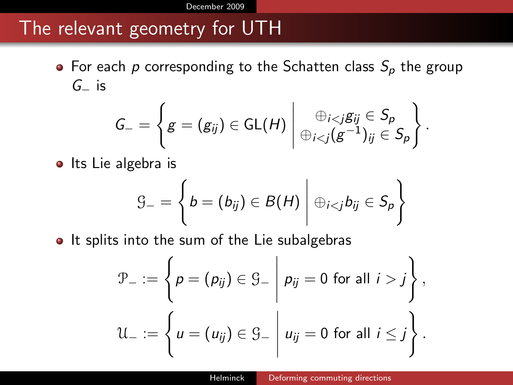### The relevant geometry for UTH

• For each p corresponding to the Schatten class  $S_p$  the group  $G_$  is

$$
G_{-}=\left\{g=(g_{ij})\in\mathsf{GL}(H)\,\middle|\, \bigoplus_{i
$$

 $\bullet$  Its Lie algebra is

$$
\mathcal{G}_{-} = \left\{ b = (b_{ij}) \in B(H) \mid \oplus_{i < j} b_{ij} \in S_p \right\}
$$

• It splits into the sum of the Lie subalgebras

$$
\mathcal{P}_{-} := \left\{ p = (p_{ij}) \in \mathcal{G}_{-} \middle| p_{ij} = 0 \text{ for all } i > j \right\},\
$$

$$
\mathcal{U}_{-} := \left\{ u = (u_{ij}) \in \mathcal{G}_{-} \middle| u_{ij} = 0 \text{ for all } i \leq j \right\}.
$$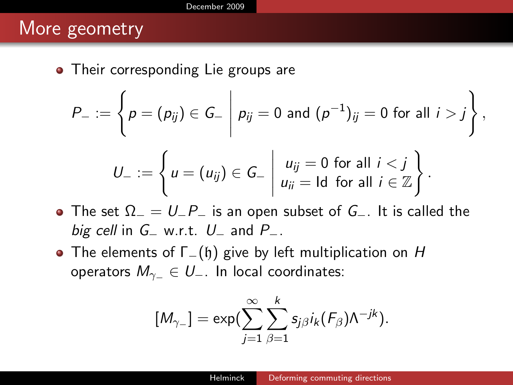#### More geometry

• Their corresponding Lie groups are

$$
P_{-} := \left\{ p = (p_{ij}) \in G_{-} \middle| p_{ij} = 0 \text{ and } (p^{-1})_{ij} = 0 \text{ for all } i > j \right\},\
$$

$$
U_{-} := \left\{ u = (u_{ij}) \in G_{-} \mid \begin{matrix} u_{ij} = 0 \text{ for all } i < j \\ u_{ii} = \text{Id} \text{ for all } i \in \mathbb{Z} \end{matrix} \right\}.
$$

- The set  $\Omega = U_P i$  is an open subset of  $G_-\cdot$ . It is called the big cell in  $G_$  w.r.t.  $U_$  and  $P_$ .
- The elements of  $\Gamma_-(\mathfrak{h})$  give by left multiplication on H operators  $M_{\gamma_-} \in U_-$ . In local coordinates:

$$
[M_{\gamma-}]=\exp(\sum_{j=1}^{\infty}\sum_{\beta=1}^{k}s_{j\beta}i_k(F_{\beta})\Lambda^{-jk}).
$$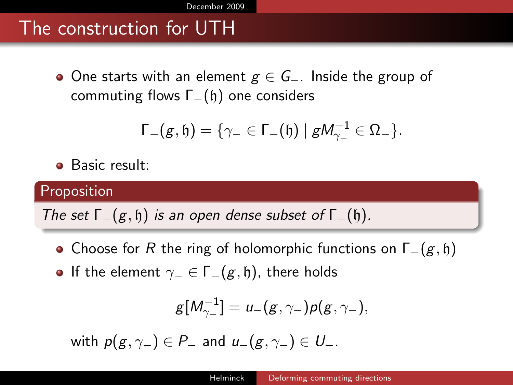## The construction for UTH

• One starts with an element  $g \in G_-\$ . Inside the group of commuting flows  $\Gamma_-(\mathfrak{h})$  one considers

$$
\Gamma_-(g,\mathfrak{h})=\{\gamma_-\in\Gamma_-(\mathfrak{h})\mid gM_{\gamma_-}^{-1}\in\Omega_-\}.
$$

Basic result:

#### Proposition

The set  $\Gamma_-(g, \mathfrak{h})$  is an open dense subset of  $\Gamma_-(\mathfrak{h})$ .

- Choose for R the ring of holomorphic functions on  $\Gamma_-(g, \mathfrak{h})$
- If the element  $γ_ = ∈ Γ_-(g, η)$ , there holds

$$
g[M_{\gamma-}^{-1}] = u_{-}(g, \gamma_{-}) p(g, \gamma_{-}),
$$

with  $p(g, \gamma_-) \in P_-$  and  $u_-(g, \gamma_-) \in U_-$ .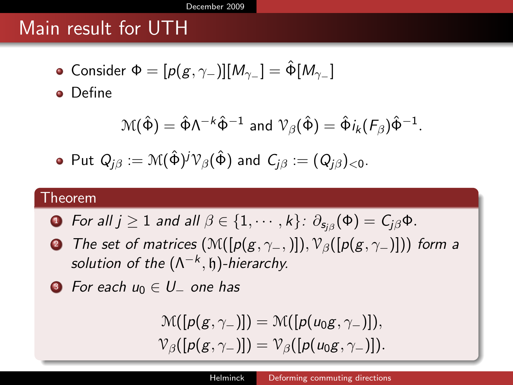### Main result for UTH

• Consider  $Φ = [p(g, γ_))] [M_γ_] = \hat{Φ} [M_γ_]$ 

**o** Define

$$
\mathcal{M}(\hat{\Phi}) = \hat{\Phi} \Lambda^{-k} \hat{\Phi}^{-1} \text{ and } \mathcal{V}_{\beta}(\hat{\Phi}) = \hat{\Phi} i_k (F_{\beta}) \hat{\Phi}^{-1}.
$$

• Put 
$$
Q_{j\beta} := \mathcal{M}(\hat{\Phi})^j \mathcal{V}_{\beta}(\hat{\Phi})
$$
 and  $C_{j\beta} := (Q_{j\beta})_{\leq 0}$ .

#### Theorem

- $\textsf{I} \textsf{I} \textsf{I} \textsf{I} \textsf{I} \textsf{I} \textsf{I} \geq 1$  and all  $\beta \in \{1, \cdots, k\} \text{: } \partial_{\mathsf{s}_{j \beta}}(\Phi) = \mathsf{C}_{j \beta} \Phi \text{.}$
- **2** The set of matrices  $(\mathcal{M}([p(g, \gamma_-,)]), \mathcal{V}_{\beta}([p(g, \gamma_+)]))$  form a solution of the  $(\Lambda^{-k}, \mathfrak{h})$ -hierarchy.

• For each 
$$
u_0 \in U_-
$$
 one has

$$
\mathcal{M}([p(g,\gamma_-)]) = \mathcal{M}([p(u_0g,\gamma_-)]),
$$
  

$$
\mathcal{V}_{\beta}([p(g,\gamma_-)]) = \mathcal{V}_{\beta}([p(u_0g,\gamma_-)]).
$$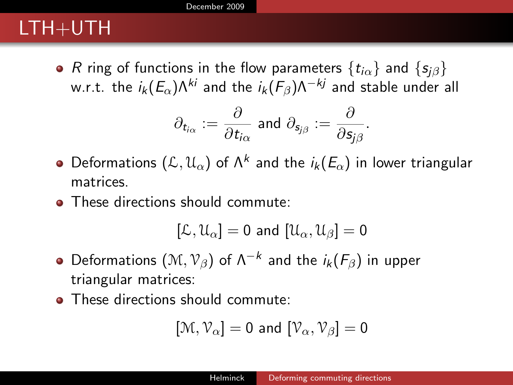## LTH+UTH

• R ring of functions in the flow parameters  $\{t_{i\alpha}\}\$  and  $\{s_{i\beta}\}\$ w.r.t. the  $i_k(E_\alpha) \Lambda^{ki}$  and the  $i_k(F_\beta) \Lambda^{-kj}$  and stable under all

$$
\partial_{t_{i\alpha}}:=\frac{\partial}{\partial t_{i\alpha}}\,\,\text{and}\,\,\partial_{s_{j\beta}}:=\frac{\partial}{\partial s_{j\beta}}.
$$

- Deformations  $(\mathcal{L},\mathfrak{U}_\alpha)$  of  $\Lambda^k$  and the  $i_k(E_\alpha)$  in lower triangular matrices.
- These directions should commute:

$$
[\mathcal{L},\mathcal{U}_\alpha]=0\text{ and }[\mathcal{U}_\alpha,\mathcal{U}_\beta]=0
$$

- Deformations  $(\mathcal{M},\mathcal{V}_\beta)$  of  $\Lambda^{-k}$  and the  $i_k(\mathit{F}_\beta)$  in upper triangular matrices:
- These directions should commute:

$$
[\mathcal{M},\mathcal{V}_{\alpha}]=0 \text{ and } [\mathcal{V}_{\alpha},\mathcal{V}_{\beta}]=0
$$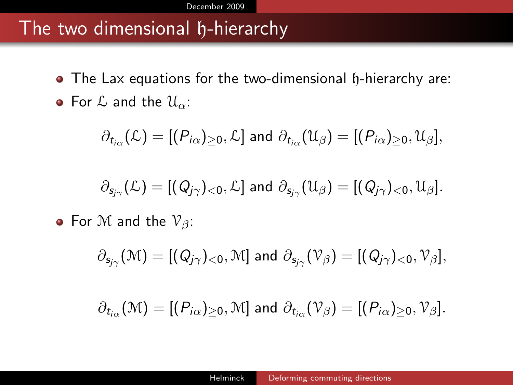#### The two dimensional h-hierarchy

- The Lax equations for the two-dimensional h-hierarchy are:
- For  $\mathcal L$  and the  $\mathcal U_{\alpha}$ :

$$
\partial_{t_{i\alpha}}(\mathcal{L})=[(P_{i\alpha})_{\geq 0},\mathcal{L}] \text{ and } \partial_{t_{i\alpha}}(\mathcal{U}_{\beta})=[(P_{i\alpha})_{\geq 0},\mathcal{U}_{\beta}],
$$

$$
\partial_{\mathsf{s}_{j\gamma}}(\mathcal{L})=[(Q_{j\gamma})_{<0},\mathcal{L}] \text{ and } \partial_{\mathsf{s}_{j\gamma}}(\mathfrak{U}_{\beta})=[(Q_{j\gamma})_{<0},\mathfrak{U}_{\beta}].
$$

• For M and the  $\mathcal{V}_{\beta}$ :

$$
\partial_{s_{j\gamma}}(\mathfrak{M})=[(Q_{j\gamma})_{<0},\mathfrak{M}] \text{ and } \partial_{s_{j\gamma}}(\mathfrak{V}_{\beta})=[(Q_{j\gamma})_{<0},\mathfrak{V}_{\beta}],
$$

$$
\partial_{t_{i\alpha}}(\mathcal{M})=[(P_{i\alpha})_{\geq 0},\mathcal{M}] \text{ and } \partial_{t_{i\alpha}}(\mathcal{V}_{\beta})=[(P_{i\alpha})_{\geq 0},\mathcal{V}_{\beta}].
$$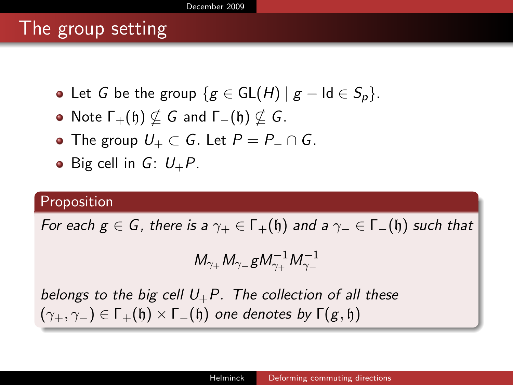#### [December 2009](#page-1-0)

### The group setting

- Let G be the group  $\{g \in GL(H) \mid g \text{Id} \in S_p\}.$
- Note  $\Gamma_+(\mathfrak{h}) \nsubseteq G$  and  $\Gamma_-(\mathfrak{h}) \nsubseteq G$ .
- The group  $U_+ \subset G$ . Let  $P = P_- \cap G$ .
- Big cell in  $G: U_+P$ .

#### Proposition

For each  $g \in G$ , there is a  $\gamma_+ \in \Gamma_+(\mathfrak{h})$  and a  $\gamma_- \in \Gamma_-(\mathfrak{h})$  such that

$$
M_{\gamma_+}M_{\gamma_-}gM_{\gamma_+}^{-1}M_{\gamma_-}^{-1}
$$

belongs to the big cell  $U_+P$ . The collection of all these  $(\gamma_+, \gamma_-)$  ∈ Γ<sub>+</sub>(h) × Γ<sub>−</sub>(h) one denotes by Γ(g, h)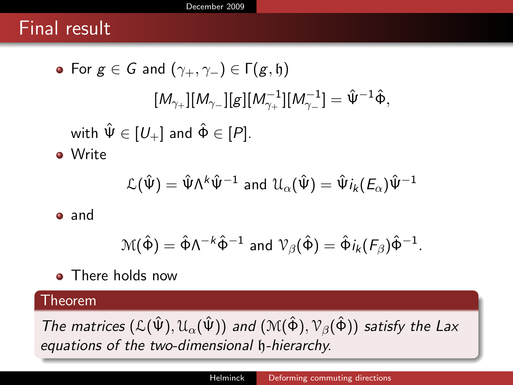#### Final result

\n- For 
$$
g \in G
$$
 and  $(\gamma_+, \gamma_-) \in \Gamma(g, \mathfrak{h})$ \n
$$
[M_{\gamma_+}][M_{\gamma_-}][g][M_{\gamma_+}^{-1}][M_{\gamma_-}^{-1}] = \hat{\Psi}^{-1}\hat{\Phi},
$$
\nwith  $\hat{\Psi} \in [U_+]$  and  $\hat{\Phi} \in [P]$ .

\n- Write  $\mathcal{L}(\hat{\Psi}) = \hat{\Psi} \Lambda^k \hat{\Psi}^{-1}$  and  $\mathcal{U}_{\alpha}(\hat{\Psi}) = \hat{\Psi} i_k(E_{\alpha}) \hat{\Psi}^{-1}$ .

**a** and

$$
\mathcal{M}(\hat{\Phi}) = \hat{\Phi} \Lambda^{-k} \hat{\Phi}^{-1} \text{ and } \mathcal{V}_{\beta}(\hat{\Phi}) = \hat{\Phi} i_k(\mathcal{F}_{\beta}) \hat{\Phi}^{-1}.
$$

• There holds now

#### Theorem

The matrices  $(\mathcal{L}(\hat{\Psi}), \mathcal{U}_{\alpha}(\hat{\Psi}))$  and  $(\mathcal{M}(\hat{\Phi}), \mathcal{V}_{\beta}(\hat{\Phi}))$  satisfy the Lax equations of the two-dimensional h-hierarchy.